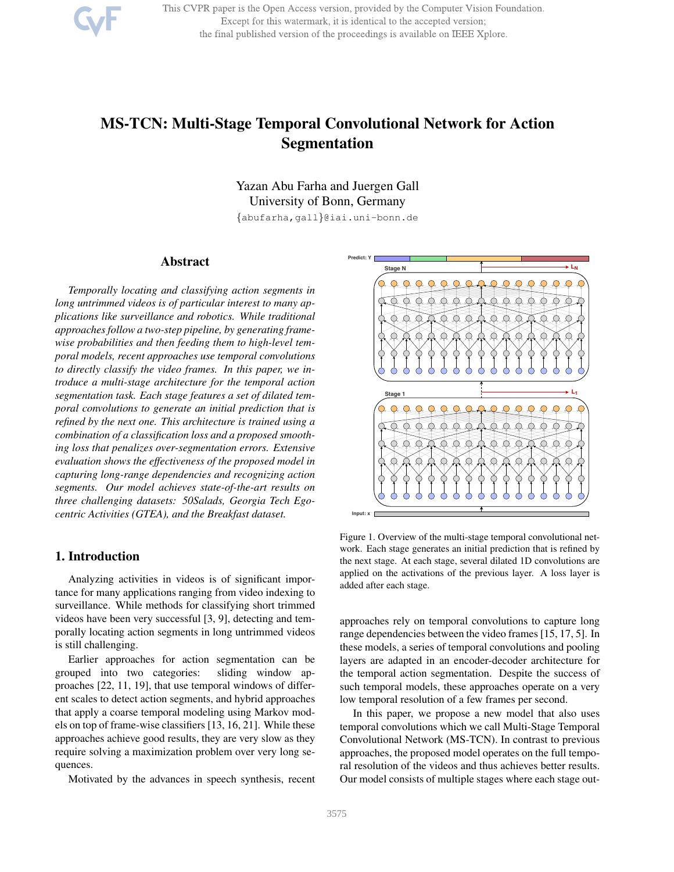This CVPR paper is the Open Access version, provided by the Computer Vision Foundation. Except for this watermark, it is identical to the accepted version; the final published version of the proceedings is available on IEEE Xplore.

# MS-TCN: Multi-Stage Temporal Convolutional Network for Action Segmentation

Yazan Abu Farha and Juergen Gall University of Bonn, Germany

{abufarha,gall}@iai.uni-bonn.de

# Abstract

*Temporally locating and classifying action segments in long untrimmed videos is of particular interest to many applications like surveillance and robotics. While traditional approaches follow a two-step pipeline, by generating framewise probabilities and then feeding them to high-level temporal models, recent approaches use temporal convolutions to directly classify the video frames. In this paper, we introduce a multi-stage architecture for the temporal action segmentation task. Each stage features a set of dilated temporal convolutions to generate an initial prediction that is refined by the next one. This architecture is trained using a combination of a classification loss and a proposed smoothing loss that penalizes over-segmentation errors. Extensive evaluation shows the effectiveness of the proposed model in capturing long-range dependencies and recognizing action segments. Our model achieves state-of-the-art results on three challenging datasets: 50Salads, Georgia Tech Egocentric Activities (GTEA), and the Breakfast dataset.*

# 1. Introduction

Analyzing activities in videos is of significant importance for many applications ranging from video indexing to surveillance. While methods for classifying short trimmed videos have been very successful [3, 9], detecting and temporally locating action segments in long untrimmed videos is still challenging.

Earlier approaches for action segmentation can be grouped into two categories: sliding window approaches [22, 11, 19], that use temporal windows of different scales to detect action segments, and hybrid approaches that apply a coarse temporal modeling using Markov models on top of frame-wise classifiers [13, 16, 21]. While these approaches achieve good results, they are very slow as they require solving a maximization problem over very long sequences.

Motivated by the advances in speech synthesis, recent



Figure 1. Overview of the multi-stage temporal convolutional network. Each stage generates an initial prediction that is refined by the next stage. At each stage, several dilated 1D convolutions are applied on the activations of the previous layer. A loss layer is added after each stage.

approaches rely on temporal convolutions to capture long range dependencies between the video frames [15, 17, 5]. In these models, a series of temporal convolutions and pooling layers are adapted in an encoder-decoder architecture for the temporal action segmentation. Despite the success of such temporal models, these approaches operate on a very low temporal resolution of a few frames per second.

In this paper, we propose a new model that also uses temporal convolutions which we call Multi-Stage Temporal Convolutional Network (MS-TCN). In contrast to previous approaches, the proposed model operates on the full temporal resolution of the videos and thus achieves better results. Our model consists of multiple stages where each stage out-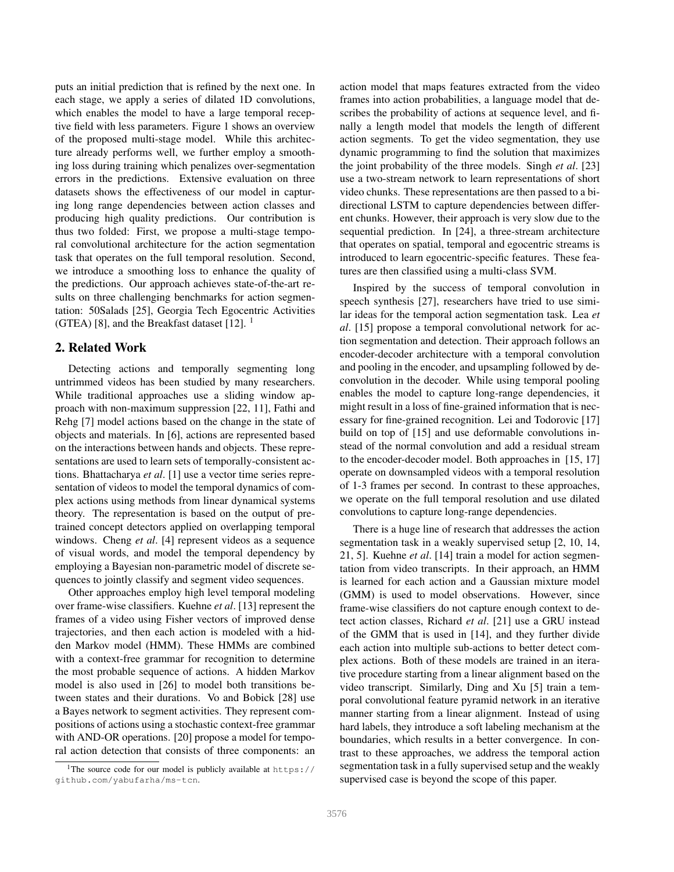puts an initial prediction that is refined by the next one. In each stage, we apply a series of dilated 1D convolutions, which enables the model to have a large temporal receptive field with less parameters. Figure 1 shows an overview of the proposed multi-stage model. While this architecture already performs well, we further employ a smoothing loss during training which penalizes over-segmentation errors in the predictions. Extensive evaluation on three datasets shows the effectiveness of our model in capturing long range dependencies between action classes and producing high quality predictions. Our contribution is thus two folded: First, we propose a multi-stage temporal convolutional architecture for the action segmentation task that operates on the full temporal resolution. Second, we introduce a smoothing loss to enhance the quality of the predictions. Our approach achieves state-of-the-art results on three challenging benchmarks for action segmentation: 50Salads [25], Georgia Tech Egocentric Activities (GTEA) [8], and the Breakfast dataset  $[12]$ . <sup>1</sup>

# 2. Related Work

Detecting actions and temporally segmenting long untrimmed videos has been studied by many researchers. While traditional approaches use a sliding window approach with non-maximum suppression [22, 11], Fathi and Rehg [7] model actions based on the change in the state of objects and materials. In [6], actions are represented based on the interactions between hands and objects. These representations are used to learn sets of temporally-consistent actions. Bhattacharya *et al*. [1] use a vector time series representation of videos to model the temporal dynamics of complex actions using methods from linear dynamical systems theory. The representation is based on the output of pretrained concept detectors applied on overlapping temporal windows. Cheng *et al*. [4] represent videos as a sequence of visual words, and model the temporal dependency by employing a Bayesian non-parametric model of discrete sequences to jointly classify and segment video sequences.

Other approaches employ high level temporal modeling over frame-wise classifiers. Kuehne *et al*. [13] represent the frames of a video using Fisher vectors of improved dense trajectories, and then each action is modeled with a hidden Markov model (HMM). These HMMs are combined with a context-free grammar for recognition to determine the most probable sequence of actions. A hidden Markov model is also used in [26] to model both transitions between states and their durations. Vo and Bobick [28] use a Bayes network to segment activities. They represent compositions of actions using a stochastic context-free grammar with AND-OR operations. [20] propose a model for temporal action detection that consists of three components: an

action model that maps features extracted from the video frames into action probabilities, a language model that describes the probability of actions at sequence level, and finally a length model that models the length of different action segments. To get the video segmentation, they use dynamic programming to find the solution that maximizes the joint probability of the three models. Singh *et al*. [23] use a two-stream network to learn representations of short video chunks. These representations are then passed to a bidirectional LSTM to capture dependencies between different chunks. However, their approach is very slow due to the sequential prediction. In [24], a three-stream architecture that operates on spatial, temporal and egocentric streams is introduced to learn egocentric-specific features. These features are then classified using a multi-class SVM.

Inspired by the success of temporal convolution in speech synthesis [27], researchers have tried to use similar ideas for the temporal action segmentation task. Lea *et al*. [15] propose a temporal convolutional network for action segmentation and detection. Their approach follows an encoder-decoder architecture with a temporal convolution and pooling in the encoder, and upsampling followed by deconvolution in the decoder. While using temporal pooling enables the model to capture long-range dependencies, it might result in a loss of fine-grained information that is necessary for fine-grained recognition. Lei and Todorovic [17] build on top of [15] and use deformable convolutions instead of the normal convolution and add a residual stream to the encoder-decoder model. Both approaches in [15, 17] operate on downsampled videos with a temporal resolution of 1-3 frames per second. In contrast to these approaches, we operate on the full temporal resolution and use dilated convolutions to capture long-range dependencies.

There is a huge line of research that addresses the action segmentation task in a weakly supervised setup [2, 10, 14, 21, 5]. Kuehne *et al*. [14] train a model for action segmentation from video transcripts. In their approach, an HMM is learned for each action and a Gaussian mixture model (GMM) is used to model observations. However, since frame-wise classifiers do not capture enough context to detect action classes, Richard *et al*. [21] use a GRU instead of the GMM that is used in [14], and they further divide each action into multiple sub-actions to better detect complex actions. Both of these models are trained in an iterative procedure starting from a linear alignment based on the video transcript. Similarly, Ding and Xu [5] train a temporal convolutional feature pyramid network in an iterative manner starting from a linear alignment. Instead of using hard labels, they introduce a soft labeling mechanism at the boundaries, which results in a better convergence. In contrast to these approaches, we address the temporal action segmentation task in a fully supervised setup and the weakly supervised case is beyond the scope of this paper.

<sup>&</sup>lt;sup>1</sup>The source code for our model is publicly available at https:// github.com/yabufarha/ms-tcn.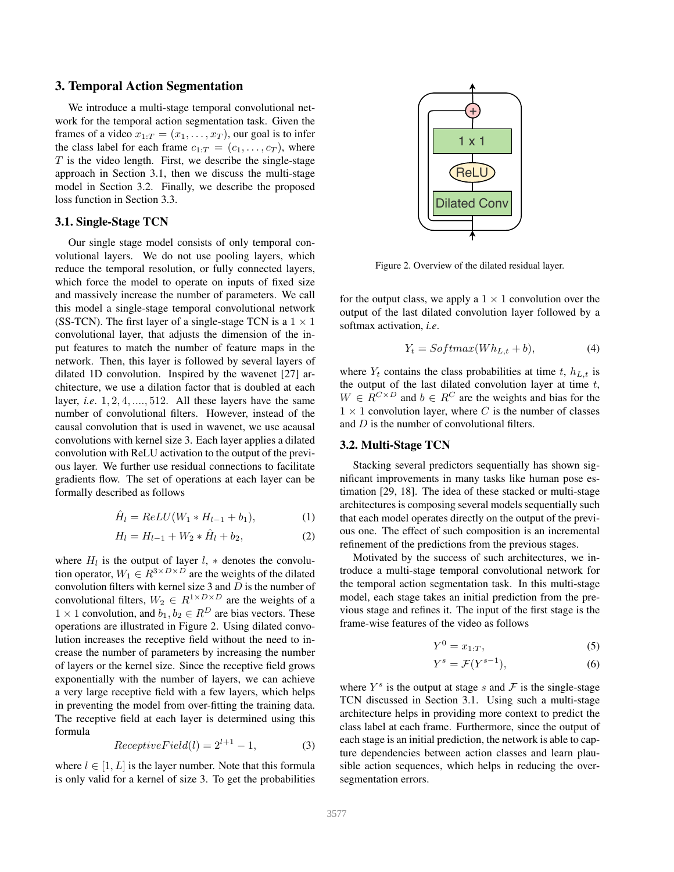## 3. Temporal Action Segmentation

We introduce a multi-stage temporal convolutional network for the temporal action segmentation task. Given the frames of a video  $x_{1:T} = (x_1, \ldots, x_T)$ , our goal is to infer the class label for each frame  $c_{1:T} = (c_1, \ldots, c_T)$ , where  $T$  is the video length. First, we describe the single-stage approach in Section 3.1, then we discuss the multi-stage model in Section 3.2. Finally, we describe the proposed loss function in Section 3.3.

#### 3.1. Single-Stage TCN

Our single stage model consists of only temporal convolutional layers. We do not use pooling layers, which reduce the temporal resolution, or fully connected layers, which force the model to operate on inputs of fixed size and massively increase the number of parameters. We call this model a single-stage temporal convolutional network (SS-TCN). The first layer of a single-stage TCN is a  $1 \times 1$ convolutional layer, that adjusts the dimension of the input features to match the number of feature maps in the network. Then, this layer is followed by several layers of dilated 1D convolution. Inspired by the wavenet [27] architecture, we use a dilation factor that is doubled at each layer, *i.e*. 1, 2, 4, ...., 512. All these layers have the same number of convolutional filters. However, instead of the causal convolution that is used in wavenet, we use acausal convolutions with kernel size 3. Each layer applies a dilated convolution with ReLU activation to the output of the previous layer. We further use residual connections to facilitate gradients flow. The set of operations at each layer can be formally described as follows

$$
\hat{H}_l = ReLU(W_1 * H_{l-1} + b_1), \tag{1}
$$

$$
H_l = H_{l-1} + W_2 * \hat{H}_l + b_2, \tag{2}
$$

where  $H_l$  is the output of layer  $l$ ,  $*$  denotes the convolution operator,  $W_1 \in R^{3 \times D \times D}$  are the weights of the dilated convolution filters with kernel size 3 and  $D$  is the number of convolutional filters,  $W_2 \in R^{1 \times D \times D}$  are the weights of a  $1 \times 1$  convolution, and  $b_1, b_2 \in R^D$  are bias vectors. These operations are illustrated in Figure 2. Using dilated convolution increases the receptive field without the need to increase the number of parameters by increasing the number of layers or the kernel size. Since the receptive field grows exponentially with the number of layers, we can achieve a very large receptive field with a few layers, which helps in preventing the model from over-fitting the training data. The receptive field at each layer is determined using this formula

$$
ReceptiveField(l) = 2^{l+1} - 1,
$$
\n(3)

where  $l \in [1, L]$  is the layer number. Note that this formula is only valid for a kernel of size 3. To get the probabilities



Figure 2. Overview of the dilated residual layer.

for the output class, we apply a  $1 \times 1$  convolution over the output of the last dilated convolution layer followed by a softmax activation, *i.e*.

$$
Y_t = Softmax(Wh_{L,t} + b), \tag{4}
$$

where  $Y_t$  contains the class probabilities at time t,  $h_{L,t}$  is the output of the last dilated convolution layer at time  $t$ ,  $W \in \mathbb{R}^{C \times D}$  and  $b \in \mathbb{R}^{C}$  are the weights and bias for the  $1 \times 1$  convolution layer, where C is the number of classes and D is the number of convolutional filters.

## 3.2. Multi-Stage TCN

Stacking several predictors sequentially has shown significant improvements in many tasks like human pose estimation [29, 18]. The idea of these stacked or multi-stage architectures is composing several models sequentially such that each model operates directly on the output of the previous one. The effect of such composition is an incremental refinement of the predictions from the previous stages.

Motivated by the success of such architectures, we introduce a multi-stage temporal convolutional network for the temporal action segmentation task. In this multi-stage model, each stage takes an initial prediction from the previous stage and refines it. The input of the first stage is the frame-wise features of the video as follows

$$
Y^0 = x_{1:T},\tag{5}
$$

$$
Y^s = \mathcal{F}(Y^{s-1}),\tag{6}
$$

where  $Y^s$  is the output at stage s and  $\mathcal F$  is the single-stage TCN discussed in Section 3.1. Using such a multi-stage architecture helps in providing more context to predict the class label at each frame. Furthermore, since the output of each stage is an initial prediction, the network is able to capture dependencies between action classes and learn plausible action sequences, which helps in reducing the oversegmentation errors.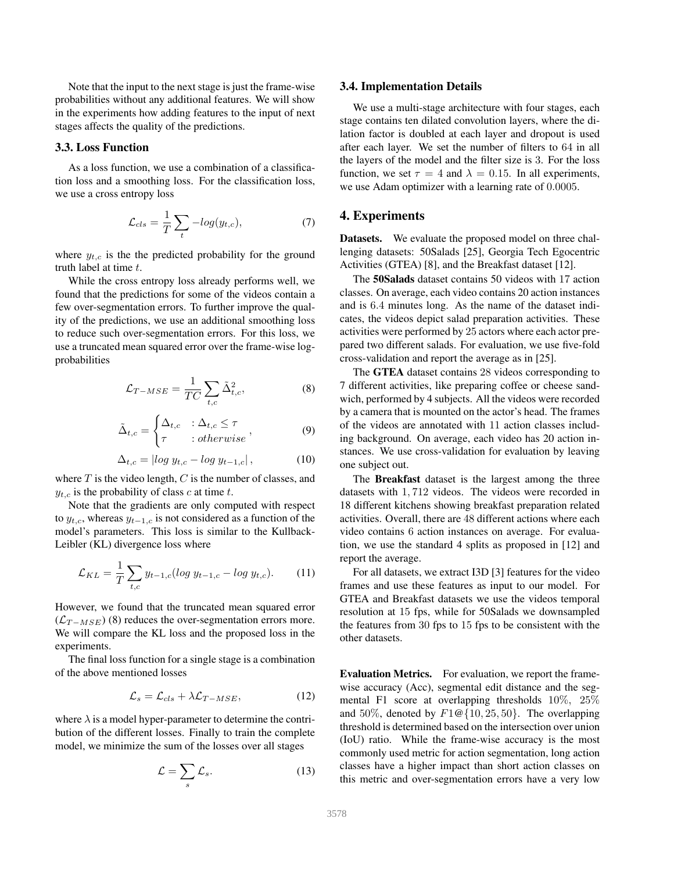Note that the input to the next stage is just the frame-wise probabilities without any additional features. We will show in the experiments how adding features to the input of next stages affects the quality of the predictions.

#### 3.3. Loss Function

As a loss function, we use a combination of a classification loss and a smoothing loss. For the classification loss, we use a cross entropy loss

$$
\mathcal{L}_{cls} = \frac{1}{T} \sum_{t} -log(y_{t,c}),\tag{7}
$$

where  $y_{t,c}$  is the the predicted probability for the ground truth label at time t.

While the cross entropy loss already performs well, we found that the predictions for some of the videos contain a few over-segmentation errors. To further improve the quality of the predictions, we use an additional smoothing loss to reduce such over-segmentation errors. For this loss, we use a truncated mean squared error over the frame-wise logprobabilities

$$
\mathcal{L}_{T-MSE} = \frac{1}{TC} \sum_{t,c} \tilde{\Delta}_{t,c}^2,\tag{8}
$$

$$
\tilde{\Delta}_{t,c} = \begin{cases}\n\Delta_{t,c} & \text{: } \Delta_{t,c} \leq \tau \\
\tau & \text{: } otherwise\n\end{cases},\n\tag{9}
$$

$$
\Delta_{t,c} = |log y_{t,c} - log y_{t-1,c}|, \qquad (10)
$$

where  $T$  is the video length,  $C$  is the number of classes, and  $y_{t,c}$  is the probability of class c at time t.

Note that the gradients are only computed with respect to  $y_{t,c}$ , whereas  $y_{t-1,c}$  is not considered as a function of the model's parameters. This loss is similar to the Kullback-Leibler (KL) divergence loss where

$$
\mathcal{L}_{KL} = \frac{1}{T} \sum_{t,c} y_{t-1,c} (\log y_{t-1,c} - \log y_{t,c}). \tag{11}
$$

However, we found that the truncated mean squared error  $(\mathcal{L}_{T-MSE})$  (8) reduces the over-segmentation errors more. We will compare the KL loss and the proposed loss in the experiments.

The final loss function for a single stage is a combination of the above mentioned losses

$$
\mathcal{L}_s = \mathcal{L}_{cls} + \lambda \mathcal{L}_{T-MSE},\tag{12}
$$

where  $\lambda$  is a model hyper-parameter to determine the contribution of the different losses. Finally to train the complete model, we minimize the sum of the losses over all stages

$$
\mathcal{L} = \sum_{s} \mathcal{L}_s. \tag{13}
$$

#### 3.4. Implementation Details

We use a multi-stage architecture with four stages, each stage contains ten dilated convolution layers, where the dilation factor is doubled at each layer and dropout is used after each layer. We set the number of filters to 64 in all the layers of the model and the filter size is 3. For the loss function, we set  $\tau = 4$  and  $\lambda = 0.15$ . In all experiments, we use Adam optimizer with a learning rate of 0.0005.

# 4. Experiments

Datasets. We evaluate the proposed model on three challenging datasets: 50Salads [25], Georgia Tech Egocentric Activities (GTEA) [8], and the Breakfast dataset [12].

The 50Salads dataset contains 50 videos with 17 action classes. On average, each video contains 20 action instances and is 6.4 minutes long. As the name of the dataset indicates, the videos depict salad preparation activities. These activities were performed by 25 actors where each actor prepared two different salads. For evaluation, we use five-fold cross-validation and report the average as in [25].

The GTEA dataset contains 28 videos corresponding to 7 different activities, like preparing coffee or cheese sandwich, performed by 4 subjects. All the videos were recorded by a camera that is mounted on the actor's head. The frames of the videos are annotated with 11 action classes including background. On average, each video has 20 action instances. We use cross-validation for evaluation by leaving one subject out.

The Breakfast dataset is the largest among the three datasets with 1, 712 videos. The videos were recorded in 18 different kitchens showing breakfast preparation related activities. Overall, there are 48 different actions where each video contains 6 action instances on average. For evaluation, we use the standard 4 splits as proposed in [12] and report the average.

For all datasets, we extract I3D [3] features for the video frames and use these features as input to our model. For GTEA and Breakfast datasets we use the videos temporal resolution at 15 fps, while for 50Salads we downsampled the features from 30 fps to 15 fps to be consistent with the other datasets.

Evaluation Metrics. For evaluation, we report the framewise accuracy (Acc), segmental edit distance and the segmental F1 score at overlapping thresholds 10%, 25% and  $50\%$ , denoted by  $F1@{10, 25, 50}$ . The overlapping threshold is determined based on the intersection over union (IoU) ratio. While the frame-wise accuracy is the most commonly used metric for action segmentation, long action classes have a higher impact than short action classes on this metric and over-segmentation errors have a very low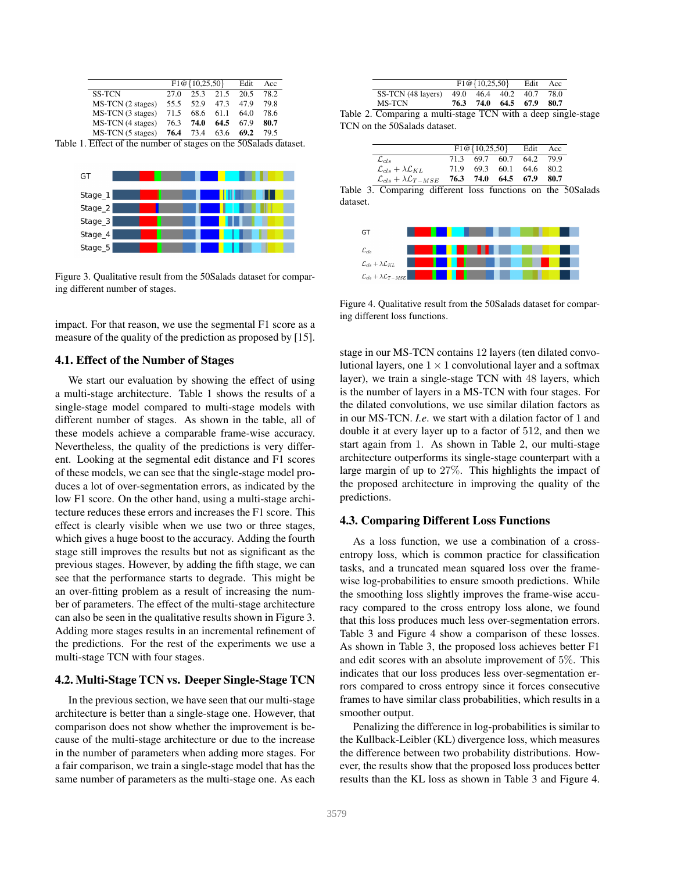|                                                  |      | $F1@{10,25,50}$                            |           | Edit          | Acc  |
|--------------------------------------------------|------|--------------------------------------------|-----------|---------------|------|
| <b>SS-TCN</b>                                    | 27 O | 253                                        | 21.5      | 20.5          | 78.2 |
| MS-TCN (2 stages)                                | 55.5 | 52.9                                       | 47.3      | 47.9          | 79.8 |
| MS-TCN (3 stages)                                | 71.5 |                                            | 68.6 61.1 | 64.0          | 78.6 |
| MS-TCN (4 stages)                                | 76.3 | 74.0                                       | 64.5      | 67.9          | 80.7 |
| MS-TCN (5 stages)                                |      | 76.4 73.4                                  | 63.6      | 69.2          | 79.5 |
| $\sim$ $\sim$ $\sim$ $\sim$<br>D <sub>c</sub> c. | c    | <b>Contract Contract Contract Contract</b> | $\cdot$ 1 | $\sim$ $\sim$ |      |

Table 1. Effect of the number of stages on the 50Salads dataset.



Figure 3. Qualitative result from the 50Salads dataset for comparing different number of stages.

impact. For that reason, we use the segmental F1 score as a measure of the quality of the prediction as proposed by [15].

## 4.1. Effect of the Number of Stages

We start our evaluation by showing the effect of using a multi-stage architecture. Table 1 shows the results of a single-stage model compared to multi-stage models with different number of stages. As shown in the table, all of these models achieve a comparable frame-wise accuracy. Nevertheless, the quality of the predictions is very different. Looking at the segmental edit distance and F1 scores of these models, we can see that the single-stage model produces a lot of over-segmentation errors, as indicated by the low F1 score. On the other hand, using a multi-stage architecture reduces these errors and increases the F1 score. This effect is clearly visible when we use two or three stages, which gives a huge boost to the accuracy. Adding the fourth stage still improves the results but not as significant as the previous stages. However, by adding the fifth stage, we can see that the performance starts to degrade. This might be an over-fitting problem as a result of increasing the number of parameters. The effect of the multi-stage architecture can also be seen in the qualitative results shown in Figure 3. Adding more stages results in an incremental refinement of the predictions. For the rest of the experiments we use a multi-stage TCN with four stages.

#### 4.2. Multi-Stage TCN vs. Deeper Single-Stage TCN

In the previous section, we have seen that our multi-stage architecture is better than a single-stage one. However, that comparison does not show whether the improvement is because of the multi-stage architecture or due to the increase in the number of parameters when adding more stages. For a fair comparison, we train a single-stage model that has the same number of parameters as the multi-stage one. As each

|                                                        | $F1@{10,25,50}$ |                          | Edit Acc |  |
|--------------------------------------------------------|-----------------|--------------------------|----------|--|
| SS-TCN (48 layers) 49.0 46.4 40.2 40.7 78.0            |                 |                          |          |  |
| MS-TCN                                                 |                 | 76.3 74.0 64.5 67.9 80.7 |          |  |
| $\sim$ 2. Comparing a multi-stage TCN with a deep sing |                 |                          |          |  |

Table 2. Comparing a multi-stage TCN with a deep single-stage TCN on the 50Salads dataset.

|        |                                                     |     | $F1@{10,25,50}$ Edit Acc |  |                     |              |
|--------|-----------------------------------------------------|-----|--------------------------|--|---------------------|--------------|
|        | $\mathcal{L}_{cls}$                                 |     | 71.3 69.7 60.7 64.2 79.9 |  |                     |              |
|        | $\mathcal{L}_{cls} + \lambda \mathcal{L}_{KL}$      | 719 |                          |  | 69.3 60.1 64.6 80.2 |              |
|        | $\mathcal{L}_{cls} + \lambda \mathcal{L}_{T - MSE}$ |     | 76.3 74.0 64.5 67.9      |  |                     | -80.7        |
| $\sim$ | $\mathbf{r}$ $\mathbf{r}$ $\mathbf{r}$<br>$\sim$    |     |                          |  |                     | $\mathbf{u}$ |

Table 3. Comparing different loss functions on the 50Salads dataset.



Figure 4. Qualitative result from the 50Salads dataset for comparing different loss functions.

stage in our MS-TCN contains 12 layers (ten dilated convolutional layers, one  $1 \times 1$  convolutional layer and a softmax layer), we train a single-stage TCN with 48 layers, which is the number of layers in a MS-TCN with four stages. For the dilated convolutions, we use similar dilation factors as in our MS-TCN. *I.e*. we start with a dilation factor of 1 and double it at every layer up to a factor of 512, and then we start again from 1. As shown in Table 2, our multi-stage architecture outperforms its single-stage counterpart with a large margin of up to 27%. This highlights the impact of the proposed architecture in improving the quality of the predictions.

# 4.3. Comparing Different Loss Functions

As a loss function, we use a combination of a crossentropy loss, which is common practice for classification tasks, and a truncated mean squared loss over the framewise log-probabilities to ensure smooth predictions. While the smoothing loss slightly improves the frame-wise accuracy compared to the cross entropy loss alone, we found that this loss produces much less over-segmentation errors. Table 3 and Figure 4 show a comparison of these losses. As shown in Table 3, the proposed loss achieves better F1 and edit scores with an absolute improvement of 5%. This indicates that our loss produces less over-segmentation errors compared to cross entropy since it forces consecutive frames to have similar class probabilities, which results in a smoother output.

Penalizing the difference in log-probabilities is similar to the Kullback-Leibler (KL) divergence loss, which measures the difference between two probability distributions. However, the results show that the proposed loss produces better results than the KL loss as shown in Table 3 and Figure 4.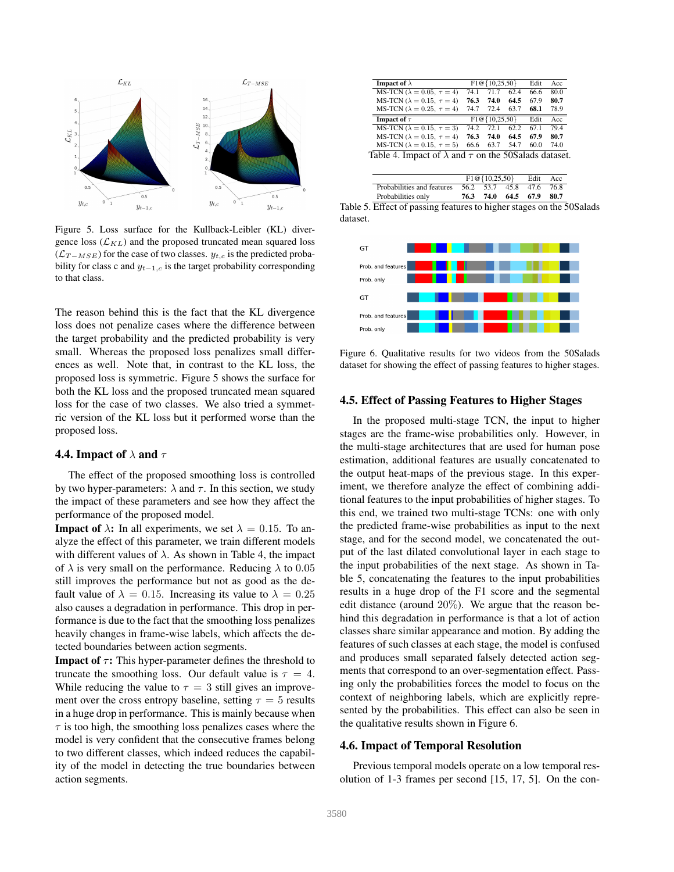

Figure 5. Loss surface for the Kullback-Leibler (KL) divergence loss  $(\mathcal{L}_{KL})$  and the proposed truncated mean squared loss  $(\mathcal{L}_{T - MSE})$  for the case of two classes.  $y_{t,c}$  is the predicted probability for class c and  $y_{t-1,c}$  is the target probability corresponding to that class.

The reason behind this is the fact that the KL divergence loss does not penalize cases where the difference between the target probability and the predicted probability is very small. Whereas the proposed loss penalizes small differences as well. Note that, in contrast to the KL loss, the proposed loss is symmetric. Figure 5 shows the surface for both the KL loss and the proposed truncated mean squared loss for the case of two classes. We also tried a symmetric version of the KL loss but it performed worse than the proposed loss.

## **4.4. Impact of**  $\lambda$  **and**  $\tau$

The effect of the proposed smoothing loss is controlled by two hyper-parameters:  $\lambda$  and  $\tau$ . In this section, we study the impact of these parameters and see how they affect the performance of the proposed model.

**Impact of**  $\lambda$ : In all experiments, we set  $\lambda = 0.15$ . To analyze the effect of this parameter, we train different models with different values of  $\lambda$ . As shown in Table 4, the impact of  $\lambda$  is very small on the performance. Reducing  $\lambda$  to 0.05 still improves the performance but not as good as the default value of  $\lambda = 0.15$ . Increasing its value to  $\lambda = 0.25$ also causes a degradation in performance. This drop in performance is due to the fact that the smoothing loss penalizes heavily changes in frame-wise labels, which affects the detected boundaries between action segments.

**Impact of**  $\tau$ **:** This hyper-parameter defines the threshold to truncate the smoothing loss. Our default value is  $\tau = 4$ . While reducing the value to  $\tau = 3$  still gives an improvement over the cross entropy baseline, setting  $\tau = 5$  results in a huge drop in performance. This is mainly because when  $\tau$  is too high, the smoothing loss penalizes cases where the model is very confident that the consecutive frames belong to two different classes, which indeed reduces the capability of the model in detecting the true boundaries between action segments.

| Impact of $\lambda$                                              |      | $F1@$ {10,25,50} |      | Edit | Acc  |  |  |
|------------------------------------------------------------------|------|------------------|------|------|------|--|--|
| MS-TCN ( $\lambda = 0.05$ , $\tau = 4$ )                         | 74.1 | 71.7             | 62.4 | 66.6 | 80.0 |  |  |
| MS-TCN ( $\lambda = 0.15$ , $\tau = 4$ )                         | 76.3 | 74.0             | 64.5 | 67.9 | 80.7 |  |  |
| MS-TCN ( $\lambda = 0.25$ , $\tau = 4$ )                         | 74.7 | 72.4             | 63.7 | 68.1 | 78.9 |  |  |
| Impact of $\tau$                                                 |      | $F1@{10,25,50}$  |      | Edit | Acc  |  |  |
| MS-TCN ( $\lambda = 0.15$ , $\tau = 3$ )                         | 74.2 | 72.1             | 62.2 | 67.1 | 79.4 |  |  |
| MS-TCN ( $\lambda = 0.15$ , $\tau = 4$ )                         | 76.3 | 74.0             | 64.5 | 67.9 | 80.7 |  |  |
| MS-TCN ( $\lambda = 0.15$ , $\tau = 5$ )                         | 66.6 | 63.7             | 54.7 | 60.0 | 74.0 |  |  |
| Table 4. Impact of $\lambda$ and $\tau$ on the 50Salads dataset. |      |                  |      |      |      |  |  |

|                                                                      | $F1@{10,25,50}$ Edit Acc |  |  |                          |  |
|----------------------------------------------------------------------|--------------------------|--|--|--------------------------|--|
| Probabilities and features                                           |                          |  |  | 56.2 53.7 45.8 47.6 76.8 |  |
| Probabilities only                                                   |                          |  |  | 76.3 74.0 64.5 67.9 80.7 |  |
| Table 5. Effect of passing features to higher stages on the 50Salads |                          |  |  |                          |  |

dataset.



Figure 6. Qualitative results for two videos from the 50Salads dataset for showing the effect of passing features to higher stages.

## 4.5. Effect of Passing Features to Higher Stages

In the proposed multi-stage TCN, the input to higher stages are the frame-wise probabilities only. However, in the multi-stage architectures that are used for human pose estimation, additional features are usually concatenated to the output heat-maps of the previous stage. In this experiment, we therefore analyze the effect of combining additional features to the input probabilities of higher stages. To this end, we trained two multi-stage TCNs: one with only the predicted frame-wise probabilities as input to the next stage, and for the second model, we concatenated the output of the last dilated convolutional layer in each stage to the input probabilities of the next stage. As shown in Table 5, concatenating the features to the input probabilities results in a huge drop of the F1 score and the segmental edit distance (around 20%). We argue that the reason behind this degradation in performance is that a lot of action classes share similar appearance and motion. By adding the features of such classes at each stage, the model is confused and produces small separated falsely detected action segments that correspond to an over-segmentation effect. Passing only the probabilities forces the model to focus on the context of neighboring labels, which are explicitly represented by the probabilities. This effect can also be seen in the qualitative results shown in Figure 6.

#### 4.6. Impact of Temporal Resolution

Previous temporal models operate on a low temporal resolution of 1-3 frames per second [15, 17, 5]. On the con-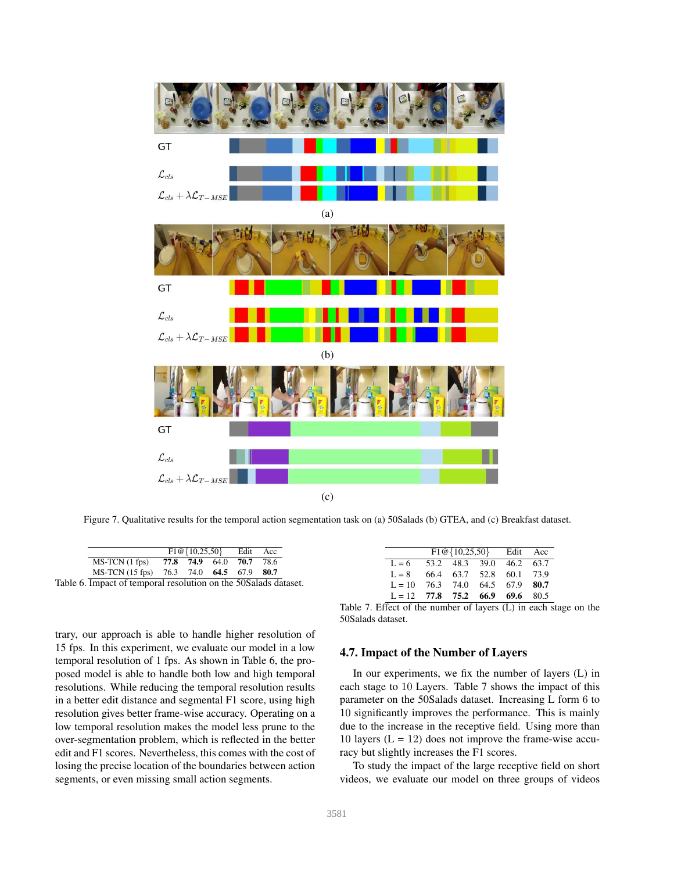

Figure 7. Qualitative results for the temporal action segmentation task on (a) 50Salads (b) GTEA, and (c) Breakfast dataset.

|                                                                 | $F1@{10,25,50}$ |                          | Edit | Acc |
|-----------------------------------------------------------------|-----------------|--------------------------|------|-----|
| $MS-TCN(1$ fps)                                                 |                 | 77.8 74.9 64.0 70.7 78.6 |      |     |
| MS-TCN (15 fps) 76.3 74.0 64.5 67.9 80.7                        |                 |                          |      |     |
| Table 6. Impact of temporal resolution on the 50Salads dataset. |                 |                          |      |     |

trary, our approach is able to handle higher resolution of 15 fps. In this experiment, we evaluate our model in a low temporal resolution of 1 fps. As shown in Table 6, the proposed model is able to handle both low and high temporal resolutions. While reducing the temporal resolution results in a better edit distance and segmental F1 score, using high resolution gives better frame-wise accuracy. Operating on a low temporal resolution makes the model less prune to the over-segmentation problem, which is reflected in the better edit and F1 scores. Nevertheless, this comes with the cost of losing the precise location of the boundaries between action segments, or even missing small action segments.

|                                   |  | $F1@{10,25,50}$ Edit Acc |  |
|-----------------------------------|--|--------------------------|--|
| $L = 6$ 53.2 48.3 39.0 46.2 63.7  |  |                          |  |
| $L = 8$                           |  | 66.4 63.7 52.8 60.1 73.9 |  |
| $L = 10$ 76.3 74.0 64.5 67.9 80.7 |  |                          |  |
| $L = 12$ 77.8 75.2 66.9 69.6 80.5 |  |                          |  |

Table 7. Effect of the number of layers (L) in each stage on the 50Salads dataset.

## 4.7. Impact of the Number of Layers

In our experiments, we fix the number of layers (L) in each stage to 10 Layers. Table 7 shows the impact of this parameter on the 50Salads dataset. Increasing L form 6 to 10 significantly improves the performance. This is mainly due to the increase in the receptive field. Using more than 10 layers  $(L = 12)$  does not improve the frame-wise accuracy but slightly increases the F1 scores.

To study the impact of the large receptive field on short videos, we evaluate our model on three groups of videos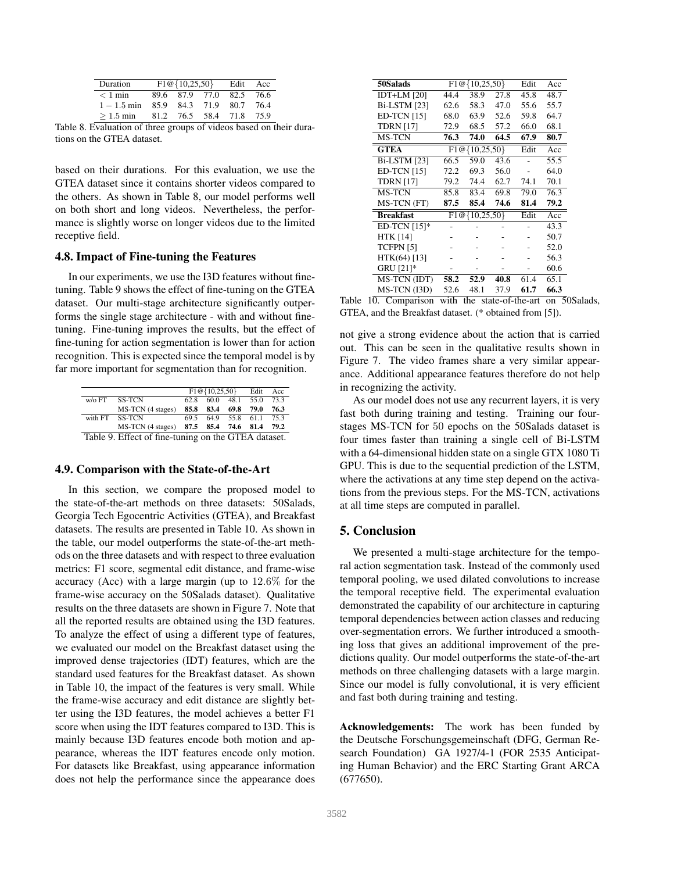| Duration      | $F1@{10,25,50}$ |                |                     | Edit      | Acc  |
|---------------|-----------------|----------------|---------------------|-----------|------|
| $< 1$ min     |                 | 89.6 87.9 77.0 |                     | 82.5 76.6 |      |
| $1 - 1.5$ min |                 |                | 85.9 84.3 71.9 80.7 |           | 76.4 |
| $>1.5$ min    | 81.2            |                | 76.5 58.4 71.8      |           | 75.9 |

Table 8. Evaluation of three groups of videos based on their durations on the GTEA dataset.

based on their durations. For this evaluation, we use the GTEA dataset since it contains shorter videos compared to the others. As shown in Table 8, our model performs well on both short and long videos. Nevertheless, the performance is slightly worse on longer videos due to the limited receptive field.

## 4.8. Impact of Fine-tuning the Features

In our experiments, we use the I3D features without finetuning. Table 9 shows the effect of fine-tuning on the GTEA dataset. Our multi-stage architecture significantly outperforms the single stage architecture - with and without finetuning. Fine-tuning improves the results, but the effect of fine-tuning for action segmentation is lower than for action recognition. This is expected since the temporal model is by far more important for segmentation than for recognition.

|                                                     |                                       |      | $F1@{10,25,50}$     |                | Edit | Acc  |  |
|-----------------------------------------------------|---------------------------------------|------|---------------------|----------------|------|------|--|
| $w$ / $\circ$ FT                                    | SS-TCN                                | 62.8 | 60.0                | 48.1           | 55.0 | 73.3 |  |
|                                                     | MS-TCN (4 stages)                     |      | 85.8 83.4 69.8 79.0 |                |      | 76.3 |  |
| with FT                                             | <b>SS-TCN</b>                         | 69.5 |                     | 64.9 55.8 61.1 |      | 75.3 |  |
|                                                     | MS-TCN (4 stages) 87.5 85.4 74.6 81.4 |      |                     |                |      | 79.2 |  |
| Table 9. Effect of fine-tuning on the GTEA dataset. |                                       |      |                     |                |      |      |  |

#### 4.9. Comparison with the State-of-the-Art

In this section, we compare the proposed model to the state-of-the-art methods on three datasets: 50Salads, Georgia Tech Egocentric Activities (GTEA), and Breakfast datasets. The results are presented in Table 10. As shown in the table, our model outperforms the state-of-the-art methods on the three datasets and with respect to three evaluation metrics: F1 score, segmental edit distance, and frame-wise accuracy (Acc) with a large margin (up to 12.6% for the frame-wise accuracy on the 50Salads dataset). Qualitative results on the three datasets are shown in Figure 7. Note that all the reported results are obtained using the I3D features. To analyze the effect of using a different type of features, we evaluated our model on the Breakfast dataset using the improved dense trajectories (IDT) features, which are the standard used features for the Breakfast dataset. As shown in Table 10, the impact of the features is very small. While the frame-wise accuracy and edit distance are slightly better using the I3D features, the model achieves a better F1 score when using the IDT features compared to I3D. This is mainly because I3D features encode both motion and appearance, whereas the IDT features encode only motion. For datasets like Breakfast, using appearance information does not help the performance since the appearance does

| 50Salads            |      | $F1@$ {10,25,50} |      | Edit | Acc  |
|---------------------|------|------------------|------|------|------|
| <b>IDT+LM</b> [20]  | 44.4 | 38.9             | 27.8 | 45.8 | 48.7 |
| <b>Bi-LSTM</b> [23] | 62.6 | 58.3             | 47.0 | 55.6 | 55.7 |
| <b>ED-TCN</b> [15]  | 68.0 | 63.9             | 52.6 | 59.8 | 64.7 |
| <b>TDRN</b> [17]    | 72.9 | 68.5             | 57.2 | 66.0 | 68.1 |
| <b>MS-TCN</b>       | 76.3 | 74.0             | 64.5 | 67.9 | 80.7 |
| <b>GTEA</b>         | F1@  | ${10,25,50}$     |      | Edit | Acc  |
| <b>Bi-LSTM</b> [23] | 66.5 | 59.0             | 43.6 |      | 55.5 |
| <b>ED-TCN</b> [15]  | 72.2 | 69.3             | 56.0 |      | 64.0 |
| <b>TDRN</b> [17]    | 79.2 | 74.4             | 62.7 | 74.1 | 70.1 |
| <b>MS-TCN</b>       | 85.8 | 83.4             | 69.8 | 79.0 | 76.3 |
| MS-TCN (FT)         | 87.5 | 85.4             | 74.6 | 81.4 | 79.2 |
| <b>Breakfast</b>    |      | $F1@$ {10,25,50} |      | Edit | Acc  |
| ED-TCN $[15]*$      |      |                  |      |      | 43.3 |
| <b>HTK [14]</b>     |      |                  |      |      | 50.7 |
| TCFPN [5]           |      |                  |      |      | 52.0 |
| $HTK(64)$ [13]      |      |                  |      |      | 56.3 |
| GRU [21]*           |      |                  |      |      | 60.6 |
| MS-TCN (IDT)        | 58.2 | 52.9             | 40.8 | 61.4 | 65.1 |
| MS-TCN (I3D)        | 52.6 | 48.1             | 37.9 | 61.7 | 66.3 |

Table 10. Comparison with the state-of-the-art on 50Salads, GTEA, and the Breakfast dataset. (\* obtained from [5]).

not give a strong evidence about the action that is carried out. This can be seen in the qualitative results shown in Figure 7. The video frames share a very similar appearance. Additional appearance features therefore do not help in recognizing the activity.

As our model does not use any recurrent layers, it is very fast both during training and testing. Training our fourstages MS-TCN for 50 epochs on the 50Salads dataset is four times faster than training a single cell of Bi-LSTM with a 64-dimensional hidden state on a single GTX 1080 Ti GPU. This is due to the sequential prediction of the LSTM, where the activations at any time step depend on the activations from the previous steps. For the MS-TCN, activations at all time steps are computed in parallel.

# 5. Conclusion

We presented a multi-stage architecture for the temporal action segmentation task. Instead of the commonly used temporal pooling, we used dilated convolutions to increase the temporal receptive field. The experimental evaluation demonstrated the capability of our architecture in capturing temporal dependencies between action classes and reducing over-segmentation errors. We further introduced a smoothing loss that gives an additional improvement of the predictions quality. Our model outperforms the state-of-the-art methods on three challenging datasets with a large margin. Since our model is fully convolutional, it is very efficient and fast both during training and testing.

Acknowledgements: The work has been funded by the Deutsche Forschungsgemeinschaft (DFG, German Research Foundation) GA 1927/4-1 (FOR 2535 Anticipating Human Behavior) and the ERC Starting Grant ARCA (677650).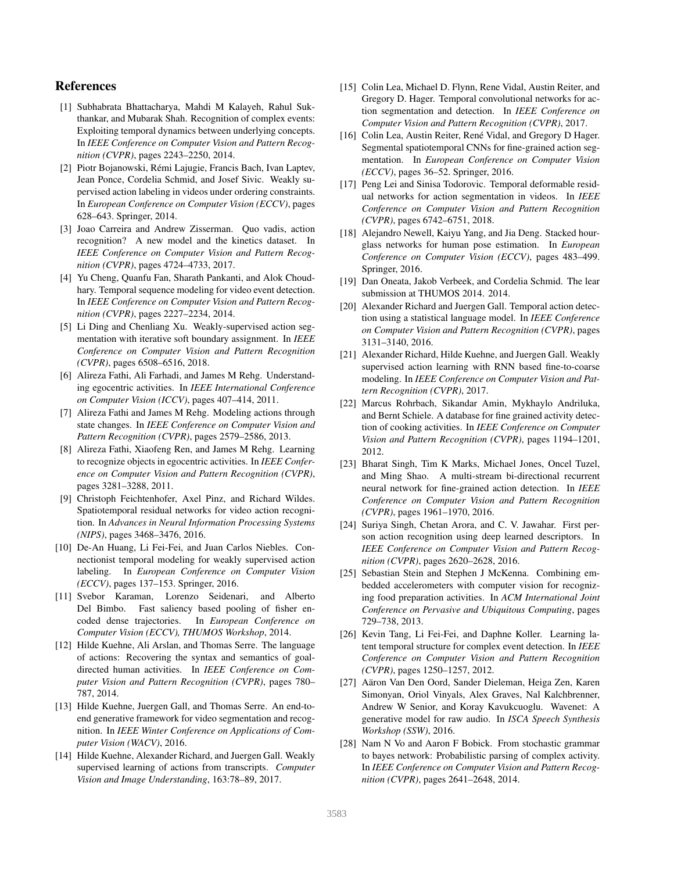# References

- [1] Subhabrata Bhattacharya, Mahdi M Kalayeh, Rahul Sukthankar, and Mubarak Shah. Recognition of complex events: Exploiting temporal dynamics between underlying concepts. In *IEEE Conference on Computer Vision and Pattern Recognition (CVPR)*, pages 2243–2250, 2014.
- [2] Piotr Bojanowski, Rémi Lajugie, Francis Bach, Ivan Laptev, Jean Ponce, Cordelia Schmid, and Josef Sivic. Weakly supervised action labeling in videos under ordering constraints. In *European Conference on Computer Vision (ECCV)*, pages 628–643. Springer, 2014.
- [3] Joao Carreira and Andrew Zisserman. Quo vadis, action recognition? A new model and the kinetics dataset. In *IEEE Conference on Computer Vision and Pattern Recognition (CVPR)*, pages 4724–4733, 2017.
- [4] Yu Cheng, Quanfu Fan, Sharath Pankanti, and Alok Choudhary. Temporal sequence modeling for video event detection. In *IEEE Conference on Computer Vision and Pattern Recognition (CVPR)*, pages 2227–2234, 2014.
- [5] Li Ding and Chenliang Xu. Weakly-supervised action segmentation with iterative soft boundary assignment. In *IEEE Conference on Computer Vision and Pattern Recognition (CVPR)*, pages 6508–6516, 2018.
- [6] Alireza Fathi, Ali Farhadi, and James M Rehg. Understanding egocentric activities. In *IEEE International Conference on Computer Vision (ICCV)*, pages 407–414, 2011.
- [7] Alireza Fathi and James M Rehg. Modeling actions through state changes. In *IEEE Conference on Computer Vision and Pattern Recognition (CVPR)*, pages 2579–2586, 2013.
- [8] Alireza Fathi, Xiaofeng Ren, and James M Rehg. Learning to recognize objects in egocentric activities. In *IEEE Conference on Computer Vision and Pattern Recognition (CVPR)*, pages 3281–3288, 2011.
- [9] Christoph Feichtenhofer, Axel Pinz, and Richard Wildes. Spatiotemporal residual networks for video action recognition. In *Advances in Neural Information Processing Systems (NIPS)*, pages 3468–3476, 2016.
- [10] De-An Huang, Li Fei-Fei, and Juan Carlos Niebles. Connectionist temporal modeling for weakly supervised action labeling. In *European Conference on Computer Vision (ECCV)*, pages 137–153. Springer, 2016.
- [11] Svebor Karaman, Lorenzo Seidenari, and Alberto Del Bimbo. Fast saliency based pooling of fisher encoded dense trajectories. In *European Conference on Computer Vision (ECCV), THUMOS Workshop*, 2014.
- [12] Hilde Kuehne, Ali Arslan, and Thomas Serre. The language of actions: Recovering the syntax and semantics of goaldirected human activities. In *IEEE Conference on Computer Vision and Pattern Recognition (CVPR)*, pages 780– 787, 2014.
- [13] Hilde Kuehne, Juergen Gall, and Thomas Serre. An end-toend generative framework for video segmentation and recognition. In *IEEE Winter Conference on Applications of Computer Vision (WACV)*, 2016.
- [14] Hilde Kuehne, Alexander Richard, and Juergen Gall. Weakly supervised learning of actions from transcripts. *Computer Vision and Image Understanding*, 163:78–89, 2017.
- [15] Colin Lea, Michael D. Flynn, Rene Vidal, Austin Reiter, and Gregory D. Hager. Temporal convolutional networks for action segmentation and detection. In *IEEE Conference on Computer Vision and Pattern Recognition (CVPR)*, 2017.
- [16] Colin Lea, Austin Reiter, René Vidal, and Gregory D Hager. Segmental spatiotemporal CNNs for fine-grained action segmentation. In *European Conference on Computer Vision (ECCV)*, pages 36–52. Springer, 2016.
- [17] Peng Lei and Sinisa Todorovic. Temporal deformable residual networks for action segmentation in videos. In *IEEE Conference on Computer Vision and Pattern Recognition (CVPR)*, pages 6742–6751, 2018.
- [18] Alejandro Newell, Kaiyu Yang, and Jia Deng. Stacked hourglass networks for human pose estimation. In *European Conference on Computer Vision (ECCV)*, pages 483–499. Springer, 2016.
- [19] Dan Oneata, Jakob Verbeek, and Cordelia Schmid. The lear submission at THUMOS 2014. 2014.
- [20] Alexander Richard and Juergen Gall. Temporal action detection using a statistical language model. In *IEEE Conference on Computer Vision and Pattern Recognition (CVPR)*, pages 3131–3140, 2016.
- [21] Alexander Richard, Hilde Kuehne, and Juergen Gall. Weakly supervised action learning with RNN based fine-to-coarse modeling. In *IEEE Conference on Computer Vision and Pattern Recognition (CVPR)*, 2017.
- [22] Marcus Rohrbach, Sikandar Amin, Mykhaylo Andriluka, and Bernt Schiele. A database for fine grained activity detection of cooking activities. In *IEEE Conference on Computer Vision and Pattern Recognition (CVPR)*, pages 1194–1201, 2012.
- [23] Bharat Singh, Tim K Marks, Michael Jones, Oncel Tuzel, and Ming Shao. A multi-stream bi-directional recurrent neural network for fine-grained action detection. In *IEEE Conference on Computer Vision and Pattern Recognition (CVPR)*, pages 1961–1970, 2016.
- [24] Suriya Singh, Chetan Arora, and C. V. Jawahar. First person action recognition using deep learned descriptors. In *IEEE Conference on Computer Vision and Pattern Recognition (CVPR)*, pages 2620–2628, 2016.
- [25] Sebastian Stein and Stephen J McKenna. Combining embedded accelerometers with computer vision for recognizing food preparation activities. In *ACM International Joint Conference on Pervasive and Ubiquitous Computing*, pages 729–738, 2013.
- [26] Kevin Tang, Li Fei-Fei, and Daphne Koller. Learning latent temporal structure for complex event detection. In *IEEE Conference on Computer Vision and Pattern Recognition (CVPR)*, pages 1250–1257, 2012.
- [27] Aäron Van Den Oord, Sander Dieleman, Heiga Zen, Karen Simonyan, Oriol Vinyals, Alex Graves, Nal Kalchbrenner, Andrew W Senior, and Koray Kavukcuoglu. Wavenet: A generative model for raw audio. In *ISCA Speech Synthesis Workshop (SSW)*, 2016.
- [28] Nam N Vo and Aaron F Bobick. From stochastic grammar to bayes network: Probabilistic parsing of complex activity. In *IEEE Conference on Computer Vision and Pattern Recognition (CVPR)*, pages 2641–2648, 2014.